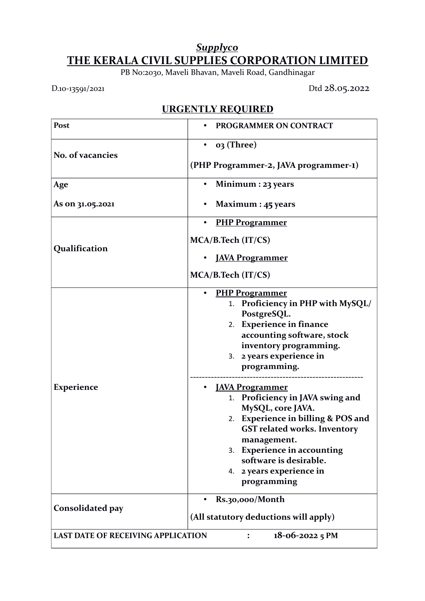## *Supplyco* **THE KERALA CIVIL SUPPLIES CORPORATION LIMITED**

PB No:2030, Maveli Bhavan, Maveli Road, Gandhinagar

D.10-13591/2021 Dtd 28.05.2022

## **URGENTLY REQUIRED**

| Post                                                           | PROGRAMMER ON CONTRACT                                                                                                                                                                                                                                                                                                                                                                                                                                                                                    |
|----------------------------------------------------------------|-----------------------------------------------------------------------------------------------------------------------------------------------------------------------------------------------------------------------------------------------------------------------------------------------------------------------------------------------------------------------------------------------------------------------------------------------------------------------------------------------------------|
| No. of vacancies                                               | 03 (Three)                                                                                                                                                                                                                                                                                                                                                                                                                                                                                                |
|                                                                | (PHP Programmer-2, JAVA programmer-1)                                                                                                                                                                                                                                                                                                                                                                                                                                                                     |
| Age                                                            | Minimum : 23 years                                                                                                                                                                                                                                                                                                                                                                                                                                                                                        |
| As on 31.05.2021                                               | Maximum : 45 years                                                                                                                                                                                                                                                                                                                                                                                                                                                                                        |
| Qualification                                                  | <b>PHP Programmer</b><br>$\bullet$                                                                                                                                                                                                                                                                                                                                                                                                                                                                        |
|                                                                | MCA/B.Tech (IT/CS)                                                                                                                                                                                                                                                                                                                                                                                                                                                                                        |
|                                                                | <b>JAVA Programmer</b>                                                                                                                                                                                                                                                                                                                                                                                                                                                                                    |
|                                                                | MCA/B.Tech (IT/CS)                                                                                                                                                                                                                                                                                                                                                                                                                                                                                        |
| <b>Experience</b>                                              | <b>PHP Programmer</b><br>1. Proficiency in PHP with MySQL/<br>PostgreSQL.<br>2. Experience in finance<br>accounting software, stock<br>inventory programming.<br>3. 2 years experience in<br>programming.<br><u>JAVA Programmer</u><br>1. Proficiency in JAVA swing and<br>MySQL, core JAVA.<br>2. Experience in billing & POS and<br><b>GST related works. Inventory</b><br>management.<br><b>Experience in accounting</b><br>3.<br>software is desirable.<br>2 years experience in<br>4.<br>programming |
| Consolidated pay                                               | Rs.30,000/Month<br>(All statutory deductions will apply)                                                                                                                                                                                                                                                                                                                                                                                                                                                  |
| <b>LAST DATE OF RECEIVING APPLICATION</b><br>$18-06-2022$ 5 PM |                                                                                                                                                                                                                                                                                                                                                                                                                                                                                                           |